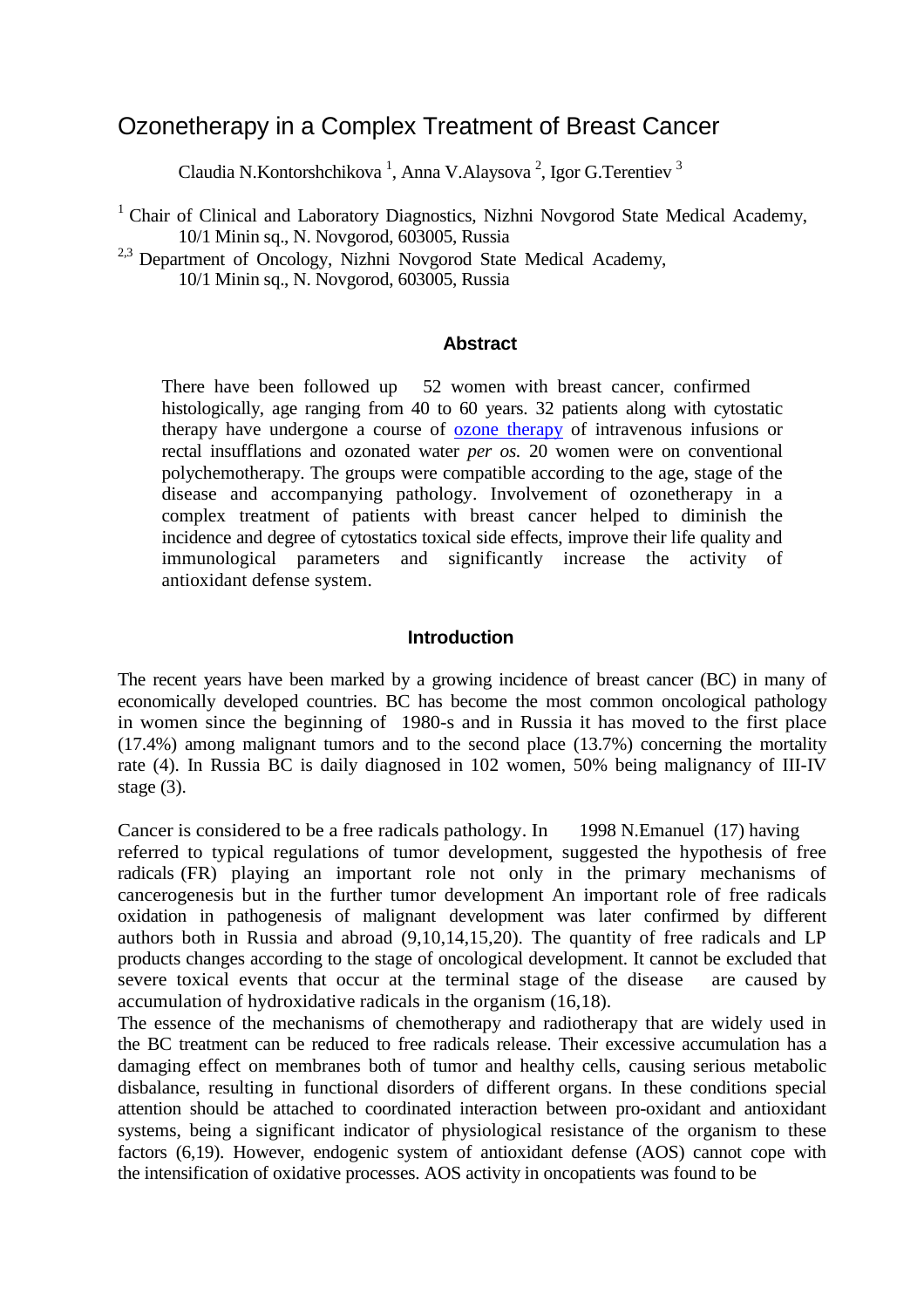# Ozonetherapy in a Complex Treatment of Breast Cancer

Claudia N.Kontorshchikova<sup>1</sup>, Anna V.Alaysova<sup>2</sup>, Igor G.Terentiev<sup>3</sup>

<sup>1</sup> Chair of Clinical and Laboratory Diagnostics, Nizhni Novgorod State Medical Academy, 10/1 Minin sq., N. Novgorod, 603005, Russia

<sup>2,3</sup> Department of Oncology, Nizhni Novgorod State Medical Academy, 10/1 Minin sq., N. Novgorod, 603005, Russia

### **Abstract**

There have been followed up 52 women with breast cancer, confirmed histologically, age ranging from 40 to 60 years. 32 patients along with cytostatic therapy have undergone a course of [ozone therapy](http://www.austinozone.com/) of intravenous infusions or rectal insufflations and ozonated water *per os.* 20 women were on conventional polychemotherapy. The groups were compatible according to the age, stage of the disease and accompanying pathology. Involvement of ozonetherapy in a complex treatment of patients with breast cancer helped to diminish the incidence and degree of cytostatics toxical side effects, improve their life quality and immunological parameters and significantly increase the activity of antioxidant defense system.

### **Introduction**

The recent years have been marked by a growing incidence of breast cancer (BC) in many of economically developed countries. BC has become the most common oncological pathology in women since the beginning of 1980-s and in Russia it has moved to the first place (17.4%) among malignant tumors and to the second place (13.7%) concerning the mortality rate (4). In Russia BC is daily diagnosed in 102 women, 50% being malignancy of III-IV stage (3).

Cancer is considered to be a free radicals pathology. In 1998 N.Emanuel (17) having referred to typical regulations of tumor development, suggested the hypothesis of free radicals (FR) playing an important role not only in the primary mechanisms of cancerogenesis but in the further tumor development An important role of free radicals oxidation in pathogenesis of malignant development was later confirmed by different authors both in Russia and abroad (9,10,14,15,20). The quantity of free radicals and LP products changes according to the stage of oncological development. It cannot be excluded that severe toxical events that occur at the terminal stage of the disease are caused by accumulation of hydroxidative radicals in the organism (16,18).

The essence of the mechanisms of chemotherapy and radiotherapy that are widely used in the BC treatment can be reduced to free radicals release. Their excessive accumulation has a damaging effect on membranes both of tumor and healthy cells, causing serious metabolic disbalance, resulting in functional disorders of different organs. In these conditions special attention should be attached to coordinated interaction between pro-oxidant and antioxidant systems, being a significant indicator of physiological resistance of the organism to these factors (6,19). However, endogenic system of antioxidant defense (AOS) cannot cope with the intensification of oxidative processes. AOS activity in oncopatients was found to be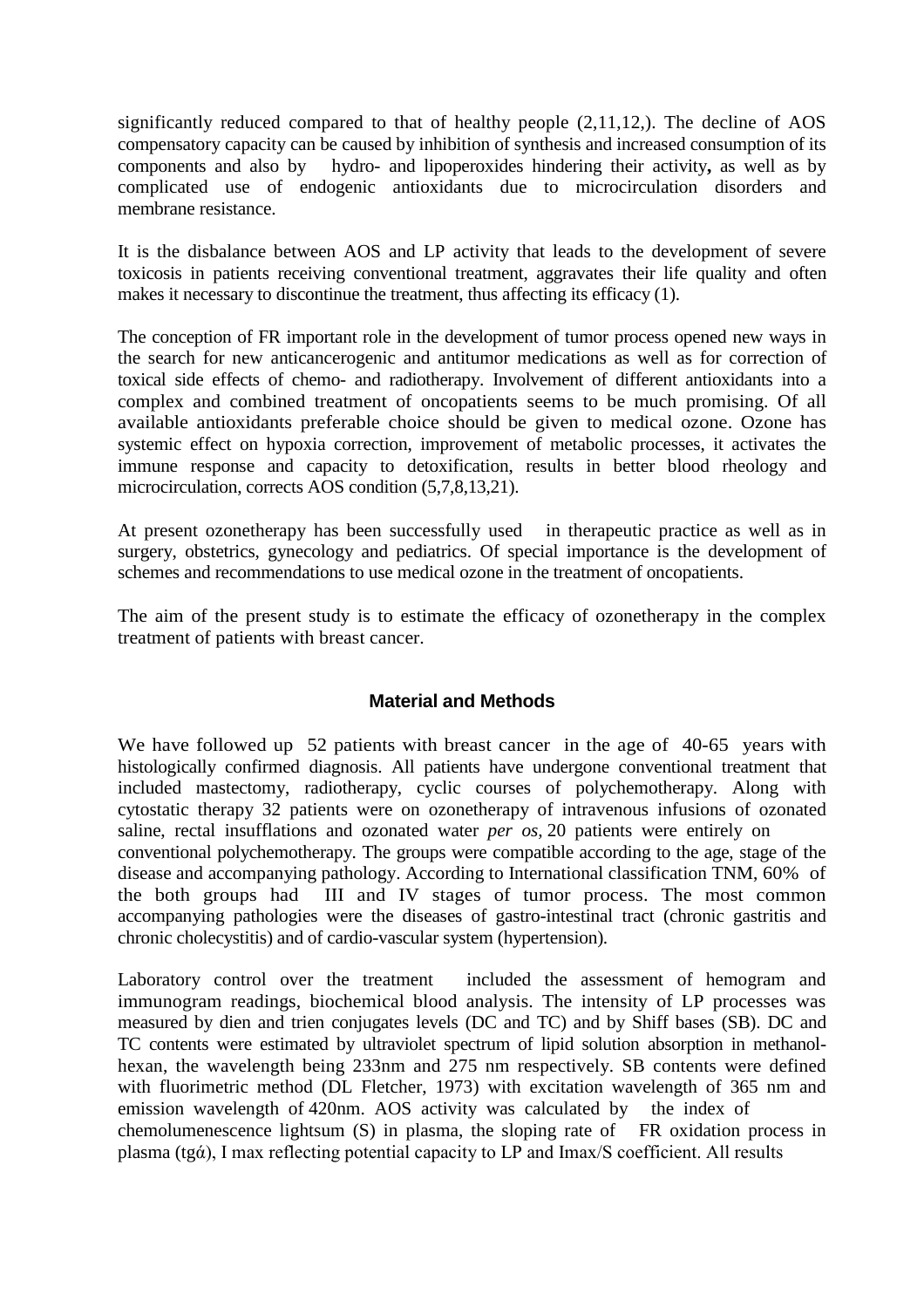significantly reduced compared to that of healthy people (2,11,12,). The decline of AOS compensatory capacity can be caused by inhibition of synthesis and increased consumption of its components and also by hydro- and lipoperoxides hindering their activity, as well as by hydro- and lipoperoxides hindering their activity, as well as by complicated use of endogenic antioxidants due to microcirculation disorders and membrane resistance.

It is the disbalance between AOS and LP activity that leads to the development of severe toxicosis in patients receiving conventional treatment, aggravates their life quality and often makes it necessary to discontinue the treatment, thus affecting its efficacy (1).

The conception of FR important role in the development of tumor process opened new ways in the search for new anticancerogenic and antitumor medications as well as for correction of toxical side effects of chemo- and radiotherapy. Involvement of different antioxidants into a complex and combined treatment of oncopatients seems to be much promising. Of all available antioxidants preferable choice should be given to medical ozone. Ozone has systemic effect on hypoxia correction, improvement of metabolic processes, it activates the immune response and capacity to detoxification, results in better blood rheology and microcirculation, corrects AOS condition (5,7,8,13,21).

At present ozonetherapy has been successfully used in therapeutic practice as well as in surgery, obstetrics, gynecology and pediatrics. Of special importance is the development of schemes and recommendations to use medical ozone in the treatment of oncopatients.

The aim of the present study is to estimate the efficacy of ozonetherapy in the complex treatment of patients with breast cancer.

# **Material and Methods**

We have followed up 52 patients with breast cancer in the age of 40-65 years with histologically confirmed diagnosis. All patients have undergone conventional treatment that included mastectomy, radiotherapy, cyclic courses of polychemotherapy. Along with cytostatic therapy 32 patients were on ozonetherapy of intravenous infusions of ozonated saline, rectal insufflations and ozonated water *per os,* 20 patients were entirely on conventional polychemotherapy. The groups were compatible according to the age, stage of the disease and accompanying pathology. According to International classification TNM, 60% of the both groups had III and IV stages of tumor process. The most common accompanying pathologies were the diseases of gastro-intestinal tract (chronic gastritis and chronic cholecystitis) and of cardio-vascular system (hypertension).

Laboratory control over the treatment included the assessment of hemogram and immunogram readings, biochemical blood analysis. The intensity of LP processes was measured by dien and trien conjugates levels (DC and TC) and by Shiff bases (SB). DC and TC contents were estimated by ultraviolet spectrum of lipid solution absorption in methanolhexan, the wavelength being 233nm and 275 nm respectively. SB contents were defined with fluorimetric method (DL Fletcher, 1973) with excitation wavelength of 365 nm and emission wavelength of 420nm. AOS activity was calculated by the index of chemolumenescence lightsum (S) in plasma, the sloping rate of FR oxidation process in plasma (tgά), I max reflecting potential capacity to LP and Imax/S coefficient. All results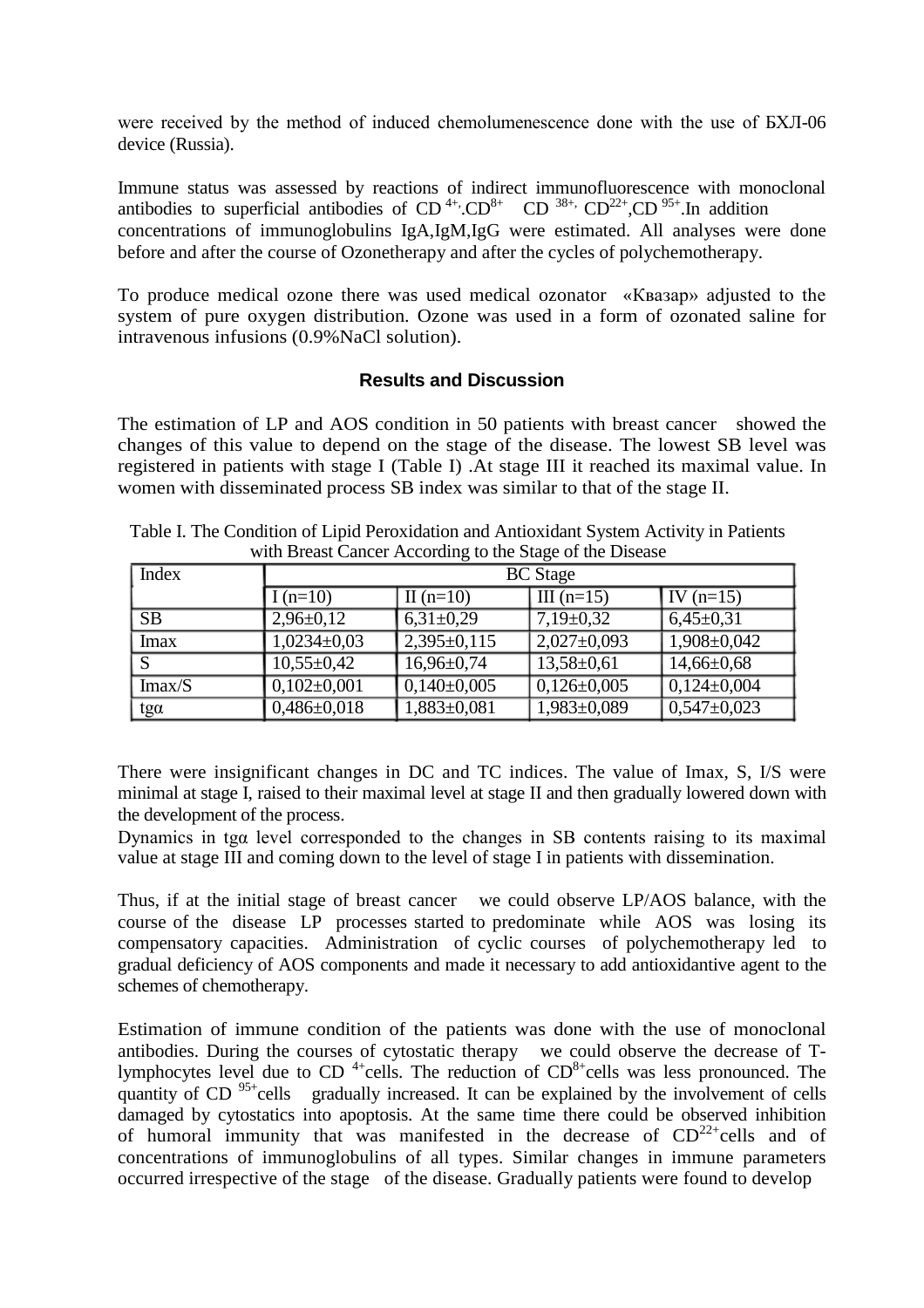were received by the method of induced chemolumenescence done with the use of БХЛ-06 device (Russia).

Immune status was assessed by reactions of indirect immunofluorescence with monoclonal antibodies to superficial antibodies of  $CD^{4+}$ . $CD^{8+}$   $CD^{38+}$ ,  $CD^{22+}$ , $CD^{95+}$ .In addition concentrations of immunoglobulins IgA,IgM,IgG were estimated. All analyses were done before and after the course of Ozonetherapy and after the cycles of polychemotherapy.

To produce medical ozone there was used medical ozonator «Квазар» adjusted to the system of pure oxygen distribution. Ozone was used in a form of ozonated saline for intravenous infusions (0.9%NaCl solution).

## **Results and Discussion**

The estimation of LP and AOS condition in 50 patients with breast cancer showed the changes of this value to depend on the stage of the disease. The lowest SB level was registered in patients with stage I (Table I) .At stage III it reached its maximal value. In women with disseminated process SB index was similar to that of the stage II.

| <b>Index</b> | <b>BC</b> Stage   |                   |                   |                   |  |
|--------------|-------------------|-------------------|-------------------|-------------------|--|
|              | I $(n=10)$        | II $(n=10)$       | III $(n=15)$      | $\vert$ IV (n=15) |  |
| SB           | $2,96\pm0,12$     | $6,31\pm0.29$     | $7,19\pm0,32$     | $6,45\pm0,31$     |  |
| Imax         | $1,0234\pm0,03$   | $2,395 \pm 0,115$ | $2,027 \pm 0,093$ | $1,908 \pm 0,042$ |  |
| S            | $10,55 \pm 0,42$  | $16,96 \pm 0,74$  | $13,58 \pm 0.61$  | $14,66 \pm 0,68$  |  |
| Imax/S       | $0,102\pm0,001$   | $0,140\pm0,005$   | $0,126 \pm 0,005$ | $0,124\pm0,004$   |  |
| $tg\alpha$   | $0,486 \pm 0,018$ | $1,883 \pm 0,081$ | 1,983±0,089       | $0,547 \pm 0,023$ |  |

Table I. The Condition of Lipid Peroxidation and Antioxidant System Activity in Patients with Breast Cancer According to the Stage of the Disease

There were insignificant changes in DC and TC indices. The value of Imax, S, I/S were minimal at stage I, raised to their maximal level at stage II and then gradually lowered down with the development of the process.

Dynamics in tgα level corresponded to the changes in SB contents raising to its maximal value at stage III and coming down to the level of stage I in patients with dissemination.

Thus, if at the initial stage of breast cancer we could observe LP/AOS balance, with the course of the disease LP processes started to predominate while AOS was losing its compensatory capacities. Administration of cyclic courses of polychemotherapy led to gradual deficiency of AOS components and made it necessary to add antioxidantive agent to the schemes of chemotherapy.

Estimation of immune condition of the patients was done with the use of monoclonal antibodies. During the courses of cytostatic therapy we could observe the decrease of Tlymphocytes level due to CD<sup>4+</sup>cells. The reduction of  $CD<sup>8+</sup>$ cells was less pronounced. The quantity of  $CD$  <sup>95+</sup>cells gradually increased. It can be explained by the involvement of cells damaged by cytostatics into apoptosis. At the same time there could be observed inhibition of humoral immunity that was manifested in the decrease of  $CD^{22+}$ cells and of concentrations of immunoglobulins of all types. Similar changes in immune parameters occurred irrespective of the stage of the disease. Gradually patients were found to develop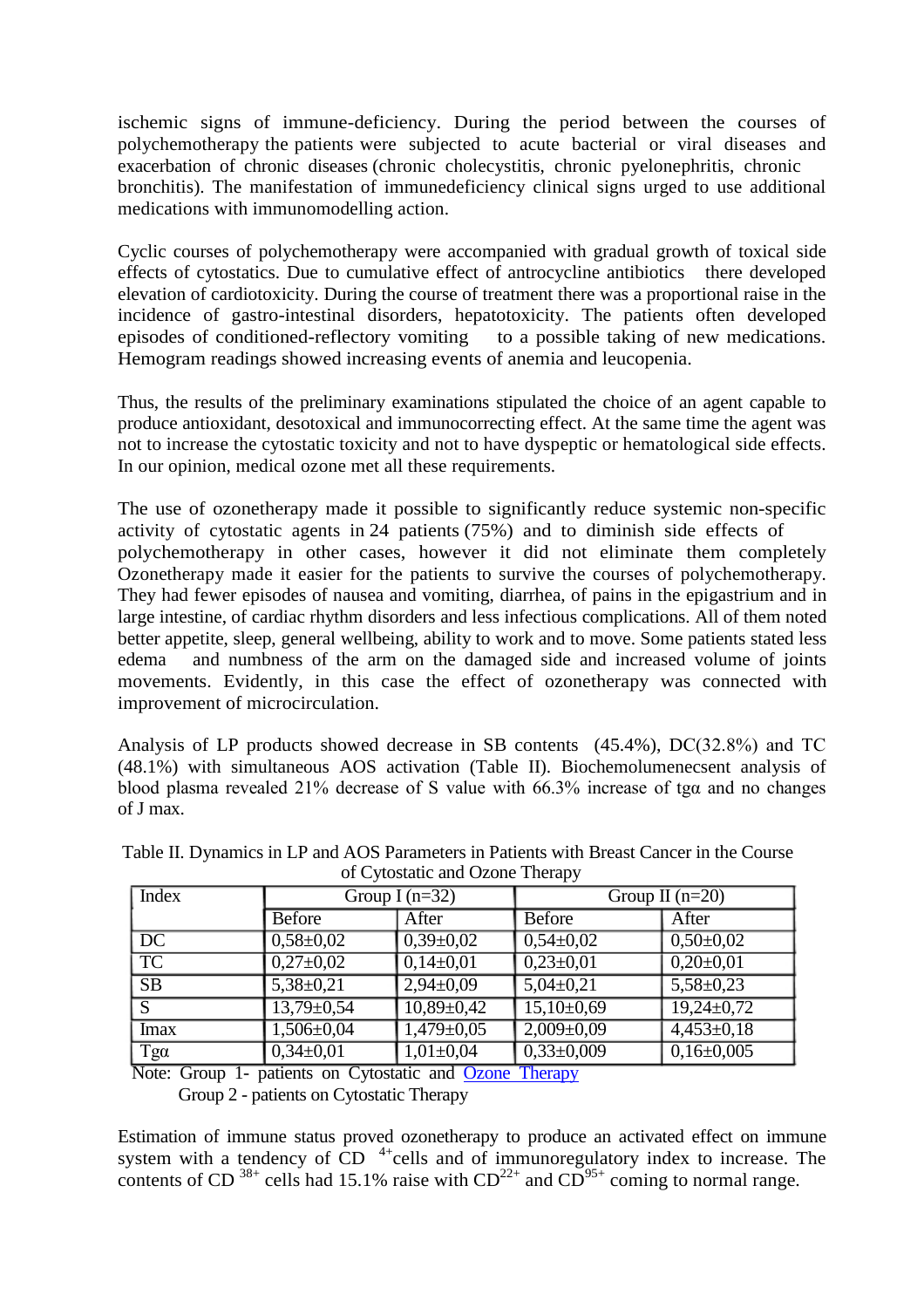ischemic signs of immune-deficiency. During the period between the courses of polychemotherapy the patients were subjected to acute bacterial or viral diseases and exacerbation of chronic diseases (chronic cholecystitis, chronic pyelonephritis, chronic bronchitis). The manifestation of immunedeficiency clinical signs urged to use additional medications with immunomodelling action.

Cyclic courses of polychemotherapy were accompanied with gradual growth of toxical side effects of cytostatics. Due to cumulative effect of antrocycline antibiotics there developed elevation of cardiotoxicity. During the course of treatment there was a proportional raise in the incidence of gastro-intestinal disorders, hepatotoxicity. The patients often developed episodes of conditioned-reflectory vomiting to a possible taking of new medications. episodes of conditioned-reflectory vomiting Hemogram readings showed increasing events of anemia and leucopenia.

Thus, the results of the preliminary examinations stipulated the choice of an agent capable to produce antioxidant, desotoxical and immunocorrecting effect. At the same time the agent was not to increase the cytostatic toxicity and not to have dyspeptic or hematological side effects. In our opinion, medical ozone met all these requirements.

The use of ozonetherapy made it possible to significantly reduce systemic non-specific activity of cytostatic agents in 24 patients (75%) and to diminish side effects of polychemotherapy in other cases, however it did not eliminate them completely Ozonetherapy made it easier for the patients to survive the courses of polychemotherapy. They had fewer episodes of nausea and vomiting, diarrhea, of pains in the epigastrium and in large intestine, of cardiac rhythm disorders and less infectious complications. All of them noted better appetite, sleep, general wellbeing, ability to work and to move. Some patients stated less edema and numbness of the arm on the damaged side and increased volume of joints movements. Evidently, in this case the effect of ozonetherapy was connected with improvement of microcirculation.

Analysis of LP products showed decrease in SB contents (45.4%), DС(32.8%) and TC (48.1%) with simultaneous AOS activation (Table II). Biochemolumenecsent analysis of blood plasma revealed 21% decrease of S value with 66.3% increase of tgα and no changes of J max.

| <b>Index</b>           | Group I $(n=32)$ |                  | Group II $(n=20)$ |                 |  |  |
|------------------------|------------------|------------------|-------------------|-----------------|--|--|
|                        | <b>Before</b>    | After            | <b>Before</b>     | After           |  |  |
| DC                     | $0,58 \pm 0,02$  | $0,39\pm0,02$    | $0,54\pm0,02$     | $0,50\pm0,02$   |  |  |
| $\overline{\text{TC}}$ | $0,27\pm0,02$    | $0,14\pm0,01$    | $0,23\pm0,01$     | $0,20\pm0,01$   |  |  |
| SB                     | $5,38 \pm 0,21$  | $2,94\pm0,09$    | $5,04\pm0,21$     | $5,58 \pm 0,23$ |  |  |
| S                      | $13,79 \pm 0,54$ | $10,89 \pm 0,42$ | $15,10\pm0,69$    | $19,24\pm0.72$  |  |  |
| <b>Imax</b>            | $1,506 \pm 0,04$ | $1,479 \pm 0,05$ | $2,009 \pm 0,09$  | $4,453\pm0,18$  |  |  |
| $Tg\alpha$             | $0,34\pm0,01$    | $1,01\pm0,04$    | $0,33\pm0,009$    | $0,16\pm0,005$  |  |  |

Table II. Dynamics in LP and AOS Parameters in Patients with Breast Cancer in the Course of Cytostatic and Ozone Therapy

Note: Group 1- patients on Cytostatic and [Ozone Therapy](http://www.ozonemachine.org/) Group 2 - patients on Cytostatic Therapy

Estimation of immune status proved ozonetherapy to produce an activated effect on immune system with a tendency of  $CD$ <sup>4+</sup>cells and of immunoregulatory index to increase. The contents of CD  $^{38+}$  cells had 15.1% raise with  $CD^{22+}$  and  $CD^{95+}$  coming to normal range.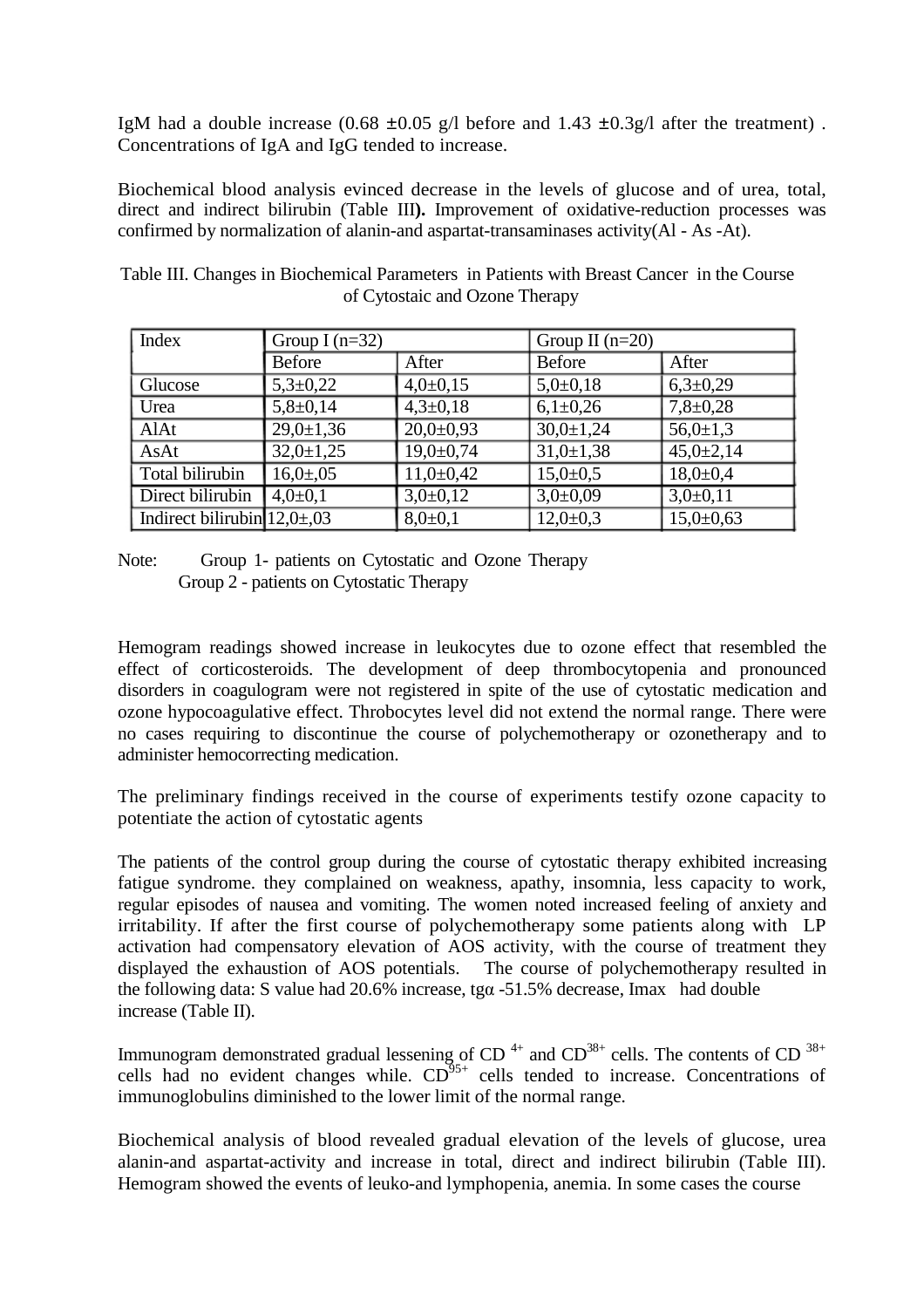IgM had a double increase  $(0.68 \pm 0.05 \text{ g/l})$  before and 1.43  $\pm 0.3 \text{ g/l}$  after the treatment). Concentrations of IgA and IgG tended to increase.

Biochemical blood analysis evinced decrease in the levels of glucose and of urea, total, direct and indirect bilirubin (Table III**).** Improvement of oxidative-reduction processes was confirmed by normalization of alanin-and aspartat-transaminases activity(Al - As -At).

Table III. Changes in Biochemical Parameters in Patients with Breast Cancer in the Course of Cytostaic and Ozone Therapy

| Index                           | Group I $(n=32)$ |                | Group II $(n=20)$ |                 |
|---------------------------------|------------------|----------------|-------------------|-----------------|
|                                 | <b>Before</b>    | After          | Before            | After           |
| Glucose                         | $5,3 \pm 0,22$   | $4,0+0,15$     | $5,0+0,18$        | $6,3\pm0,29$    |
| Urea                            | $5,8+0,14$       | $4,3 \pm 0,18$ | $6,1\pm0.26$      | $7,8+0,28$      |
| AlAt                            | $29,0 \pm 1,36$  | $20,0+0,93$    | $30,0 \pm 1,24$   | $56,0 \pm 1,3$  |
| AsAt                            | $32,0 \pm 1,25$  | $19,0+0,74$    | $31,0 \pm 1,38$   | $45,0{\pm}2,14$ |
| Total bilirubin                 | $16,0{\pm}05$    | $11,0+0,42$    | $15,0+0,5$        | $18,0+0,4$      |
| Direct bilirubin                | $4,0+0,1$        | $3,0+0,12$     | $3,0+0,09$        | $3,0+0,11$      |
| Indirect bilirubin $12.0\pm.03$ |                  | $8,0+0,1$      | $12,0+0,3$        | $15,0+0,63$     |

Note: Group 1- patients on Cytostatic and Ozone Therapy Group 2 - patients on Cytostatic Therapy

Hemogram readings showed increase in leukocytes due to ozone effect that resembled the effect of corticosteroids. The development of deep thrombocytopenia and pronounced disorders in coagulogram were not registered in spite of the use of cytostatic medication and ozone hypocoagulative effect. Throbocytes level did not extend the normal range. There were no cases requiring to discontinue the course of polychemotherapy or ozonetherapy and to administer hemocorrecting medication.

The preliminary findings received in the course of experiments testify ozone capacity to potentiate the action of cytostatic agents

The patients of the control group during the course of cytostatic therapy exhibited increasing fatigue syndrome. they complained on weakness, apathy, insomnia, less capacity to work, regular episodes of nausea and vomiting. The women noted increased feeling of anxiety and irritability. If after the first course of polychemotherapy some patients along with LP activation had compensatory elevation of AOS activity, with the course of treatment they displayed the exhaustion of AOS potentials. The course of polychemotherapy resulted in the following data: S value had 20.6% increase, tgα -51.5% decrease, Imax had double increase (Table II).

Immunogram demonstrated gradual lessening of CD<sup>4+</sup> and CD<sup>38+</sup> cells. The contents of CD<sup>38+</sup> cells had no evident changes while.  $CD^{95+}$  cells tended to increase. Concentrations of immunoglobulins diminished to the lower limit of the normal range.

Biochemical analysis of blood revealed gradual elevation of the levels of glucose, urea alanin-and aspartat-activity and increase in total, direct and indirect bilirubin (Table III). Hemogram showed the events of leuko-and lymphopenia, anemia. In some cases the course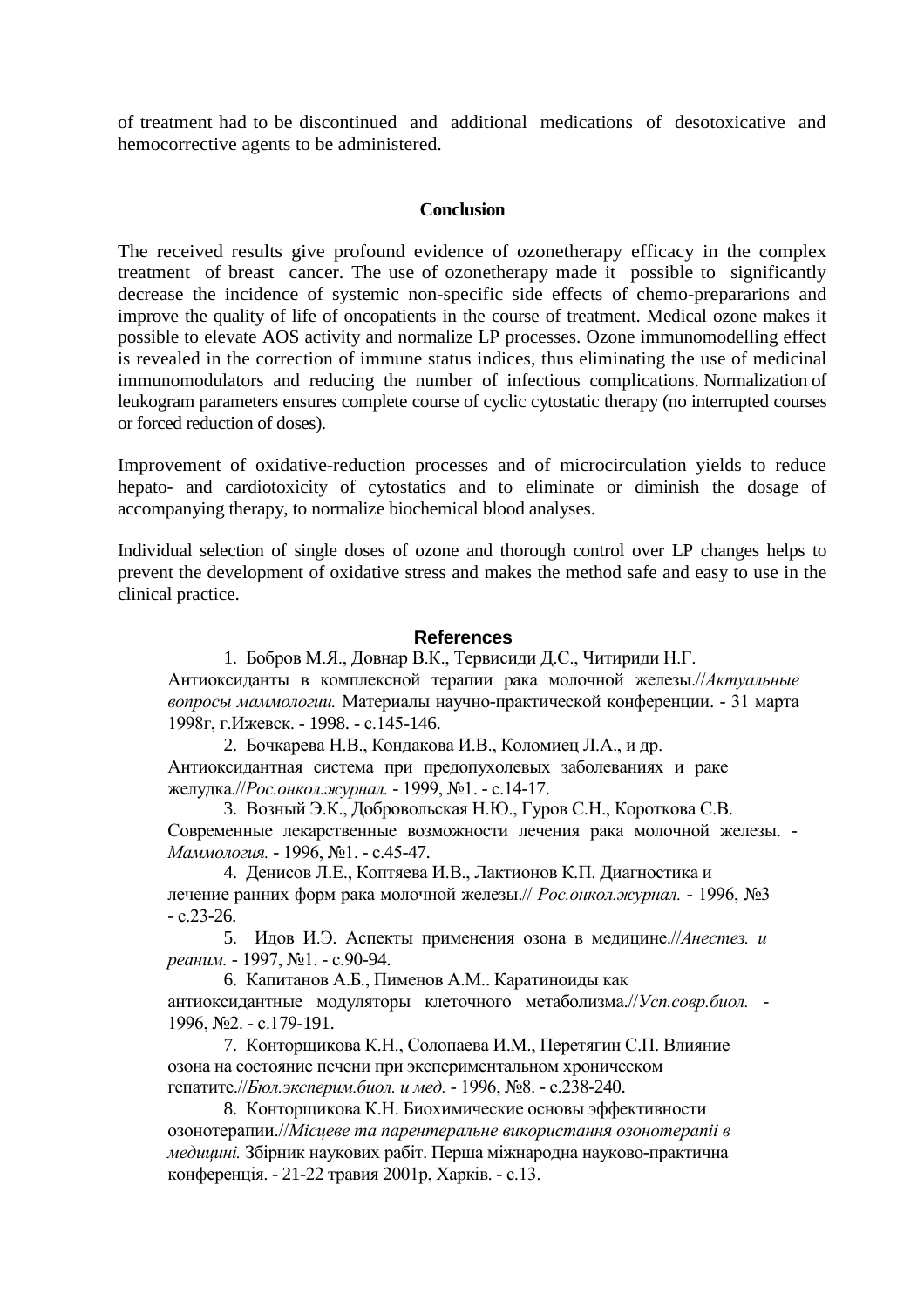of treatment had to be discontinued and additional medications of desotoxicative and hemocorrective agents to be administered.

### **Conclusion**

The received results give profound evidence of ozonetherapy efficacy in the complex treatment of breast cancer. The use of ozonetherapy made it possible to significantly decrease the incidence of systemic non-specific side effects of chemo-prepararions and improve the quality of life of oncopatients in the course of treatment. Medical ozone makes it possible to elevate AOS activity and normalize LP processes. Ozone immunomodelling effect is revealed in the correction of immune status indices, thus eliminating the use of medicinal immunomodulators and reducing the number of infectious complications. Normalization of leukogram parameters ensures complete course of cyclic cytostatic therapy (no interrupted courses or forced reduction of doses).

Improvement of oxidative-reduction processes and of microcirculation yields to reduce hepato- and cardiotoxicity of cytostatics and to eliminate or diminish the dosage of accompanying therapy, to normalize biochemical blood analyses.

Individual selection of single doses of ozone and thorough control over LP changes helps to prevent the development of oxidative stress and makes the method safe and easy to use in the clinical practice.

## **References**

1. Бобров М.Я., Довнар В.К., Тервисиди Д.С., Читириди Н.Г. Антиоксиданты в комплексной терапии рака молочной железы.//*Актуальные вопросы маммологии.* Материалы научно-практической конференции. - 31 марта 1998г, г.Ижевск. - 1998. - с.145-146.

2. Бочкарева Н.В., Кондакова И.В., Коломиец Л.А., и др. Антиоксидантная система при предопухолевых заболеваниях и раке желудка.//*Рос.онкол.журнал.* - 1999, №1. - с.14-17.

3. Возный Э.К., Добровольская Н.Ю., Гуров С.Н., Короткова С.В. Современные лекарственные возможности лечения рака молочной железы. - *Маммология.* - 1996, №1. - с.45-47.

4. Денисов Л.Е., Коптяева И.В., Лактионов К.П. Диагностика и лечение ранних форм рака молочной железы.// *Рос.онкол.журнал.* - 1996, №3  $-c.23-26.$ 

5. Идов И.Э. Аспекты применения озона в медицине.//*Анестез. и реаним.* - 1997, №1. - с.90-94.

6. Капитанов А.Б., Пименов А.М.. Каратиноиды как антиоксидантные модуляторы клеточного метаболизма.//*Усп.совр.биол.* - 1996, №2. - с.179-191.

7. Конторщикова К.Н., Солопаева И.М., Перетягин С.П. Влияние озона на состояние печени при экспериментальном хроническом гепатите.//*Бюл.эксперим.биол. и мед.* - 1996, №8. - с.238-240.

8. Конторщикова К.Н. Биохимические основы эффективности озонотерапии.//*Мiсцеве та парентеральне використання озонотерапii в медицинi.* Збiрник наукових рабiт. Перша мiжнародна науково-практична конференцiя. - 21-22 травия 2001р, Харкiв. - с.13.